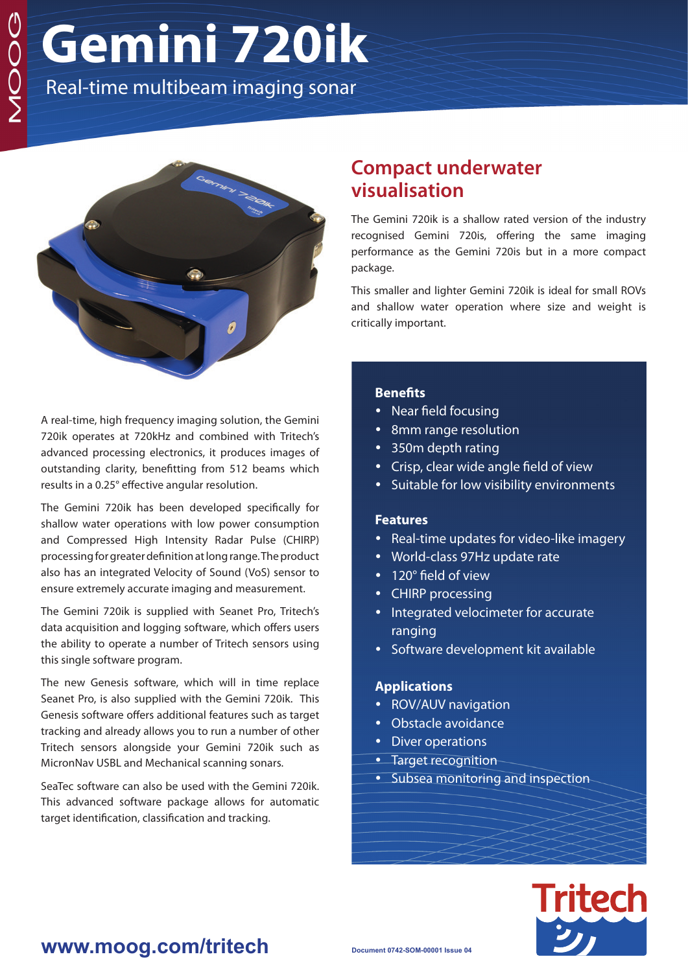# **Gemini 720ik**

Real-time multibeam imaging sonar



A real-time, high frequency imaging solution, the Gemini 720ik operates at 720kHz and combined with Tritech's advanced processing electronics, it produces images of outstanding clarity, benefitting from 512 beams which results in a 0.25° effective angular resolution.

The Gemini 720ik has been developed specifically for shallow water operations with low power consumption and Compressed High Intensity Radar Pulse (CHIRP) processing for greater definition at long range. The product also has an integrated Velocity of Sound (VoS) sensor to ensure extremely accurate imaging and measurement.

The Gemini 720ik is supplied with Seanet Pro, Tritech's data acquisition and logging software, which offers users the ability to operate a number of Tritech sensors using this single software program.

The new Genesis software, which will in time replace Seanet Pro, is also supplied with the Gemini 720ik. This Genesis software offers additional features such as target tracking and already allows you to run a number of other Tritech sensors alongside your Gemini 720ik such as MicronNav USBL and Mechanical scanning sonars.

SeaTec software can also be used with the Gemini 720ik. This advanced software package allows for automatic target identification, classification and tracking.

## **Compact underwater visualisation**

The Gemini 720ik is a shallow rated version of the industry recognised Gemini 720is, offering the same imaging performance as the Gemini 720is but in a more compact package.

This smaller and lighter Gemini 720ik is ideal for small ROVs and shallow water operation where size and weight is critically important.

#### **Benefits**

- Near field focusing
- 8mm range resolution
- 350m depth rating
- Crisp, clear wide angle field of view
- Suitable for low visibility environments

#### **Features**

- Real-time updates for video-like imagery
- World-class 97Hz update rate
- 120° field of view
- CHIRP processing
- Integrated velocimeter for accurate ranging
- Software development kit available

#### **Applications**

- ROV/AUV navigation
- Obstacle avoidance
- Diver operations
- Target recognition
- Subsea monitoring and inspection



### **www.moog.com/tritech**